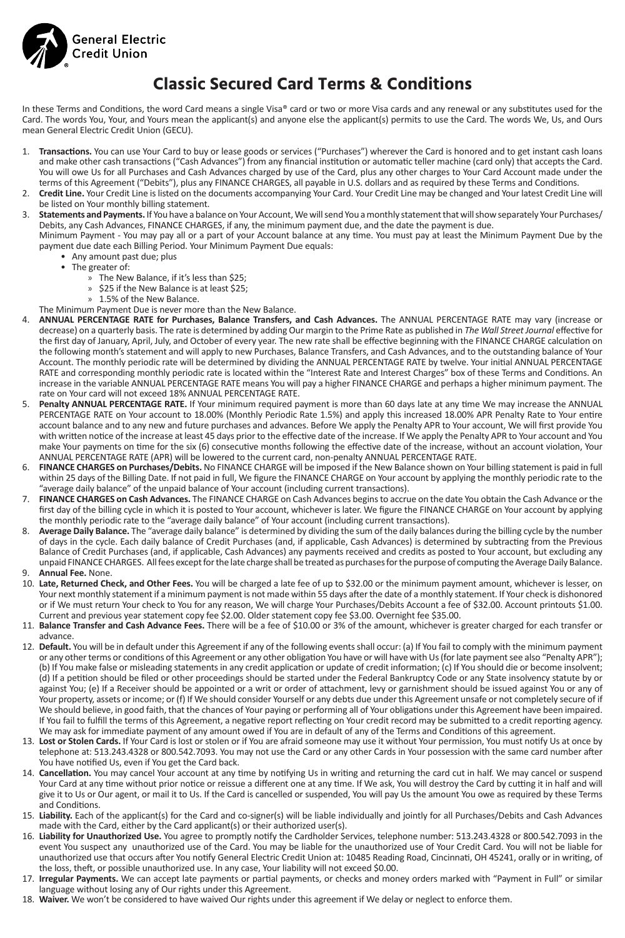

# **Classic Secured Card Terms & Conditions**

In these Terms and Conditions, the word Card means a single Visa® card or two or more Visa cards and any renewal or any substitutes used for the Card. The words You, Your, and Yours mean the applicant(s) and anyone else the applicant(s) permits to use the Card. The words We, Us, and Ours mean General Electric Credit Union (GECU).

- 1. **Transactions.** You can use Your Card to buy or lease goods or services ("Purchases") wherever the Card is honored and to get instant cash loans and make other cash transactions ("Cash Advances") from any financial institution or automatic teller machine (card only) that accepts the Card. You will owe Us for all Purchases and Cash Advances charged by use of the Card, plus any other charges to Your Card Account made under the terms of this Agreement ("Debits"), plus any FINANCE CHARGES, all payable in U.S. dollars and as required by these Terms and Conditions.
- 2. **Credit Line.** Your Credit Line is listed on the documents accompanying Your Card. Your Credit Line may be changed and Your latest Credit Line will be listed on Your monthly billing statement.
- 3. Statements and Payments. If You have a balance on Your Account, We will send You a monthly statement that will show separately Your Purchases/ Debits, any Cash Advances, FINANCE CHARGES, if any, the minimum payment due, and the date the payment is due.
- Minimum Payment You may pay all or a part of your Account balance at any time. You must pay at least the Minimum Payment Due by the payment due date each Billing Period. Your Minimum Payment Due equals:
	- Any amount past due; plus
	- The greater of:
		- » The New Balance, if it's less than \$25;
		- » \$25 if the New Balance is at least \$25;
		- » 1.5% of the New Balance.
	- The Minimum Payment Due is never more than the New Balance.
- 4. **ANNUAL PERCENTAGE RATE for Purchases, Balance Transfers, and Cash Advances.** The ANNUAL PERCENTAGE RATE may vary (increase or decrease) on a quarterly basis. The rate is determined by adding Our margin to the Prime Rate as published in *The Wall Street Journal* effective for the first day of January, April, July, and October of every year. The new rate shall be effective beginning with the FINANCE CHARGE calculation on the following month's statement and will apply to new Purchases, Balance Transfers, and Cash Advances, and to the outstanding balance of Your Account. The monthly periodic rate will be determined by dividing the ANNUAL PERCENTAGE RATE by twelve. Your initial ANNUAL PERCENTAGE RATE and corresponding monthly periodic rate is located within the "Interest Rate and Interest Charges" box of these Terms and Conditions. An increase in the variable ANNUAL PERCENTAGE RATE means You will pay a higher FINANCE CHARGE and perhaps a higher minimum payment. The rate on Your card will not exceed 18% ANNUAL PERCENTAGE RATE.
- 5. **Penalty ANNUAL PERCENTAGE RATE.** If Your minimum required payment is more than 60 days late at any time We may increase the ANNUAL PERCENTAGE RATE on Your account to 18.00% (Monthly Periodic Rate 1.5%) and apply this increased 18.00% APR Penalty Rate to Your entire account balance and to any new and future purchases and advances. Before We apply the Penalty APR to Your account, We will first provide You with written notice of the increase at least 45 days prior to the effective date of the increase. If We apply the Penalty APR to Your account and You make Your payments on time for the six (6) consecutive months following the effective date of the increase, without an account violation, Your ANNUAL PERCENTAGE RATE (APR) will be lowered to the current card, non-penalty ANNUAL PERCENTAGE RATE.
- 6. **FINANCE CHARGES on Purchases/Debits.** No FINANCE CHARGE will be imposed if the New Balance shown on Your billing statement is paid in full within 25 days of the Billing Date. If not paid in full, We figure the FINANCE CHARGE on Your account by applying the monthly periodic rate to the "average daily balance" of the unpaid balance of Your account (including current transactions).
- 7. **FINANCE CHARGES on Cash Advances.** The FINANCE CHARGE on Cash Advances begins to accrue on the date You obtain the Cash Advance or the first day of the billing cycle in which it is posted to Your account, whichever is later. We figure the FINANCE CHARGE on Your account by applying the monthly periodic rate to the "average daily balance" of Your account (including current transactions).
- 8. **Average Daily Balance.** The "average daily balance" is determined by dividing the sum of the daily balances during the billing cycle by the number of days in the cycle. Each daily balance of Credit Purchases (and, if applicable, Cash Advances) is determined by subtracting from the Previous Balance of Credit Purchases (and, if applicable, Cash Advances) any payments received and credits as posted to Your account, but excluding any unpaid FINANCE CHARGES. All fees except for the late charge shall be treated as purchases for the purpose of computing the Average Daily Balance. 9. **Annual Fee.** None.
- 
- 10. **Late, Returned Check, and Other Fees.** You will be charged a late fee of up to \$32.00 or the minimum payment amount, whichever is lesser, on Your next monthly statement if a minimum payment is not made within 55 days after the date of a monthly statement. If Your check is dishonored or if We must return Your check to You for any reason, We will charge Your Purchases/Debits Account a fee of \$32.00. Account printouts \$1.00. Current and previous year statement copy fee \$2.00. Older statement copy fee \$3.00. Overnight fee \$35.00.
- 11. **Balance Transfer and Cash Advance Fees.** There will be a fee of \$10.00 or 3% of the amount, whichever is greater charged for each transfer or advance.
- 12. **Default.** You will be in default under this Agreement if any of the following events shall occur: (a) If You fail to comply with the minimum payment or any other terms or conditions of this Agreement or any other obligation You have or will have with Us (for late payment see also "Penalty APR"); (b) If You make false or misleading statements in any credit application or update of credit information; (c) If You should die or become insolvent; (d) If a petition should be filed or other proceedings should be started under the Federal Bankruptcy Code or any State insolvency statute by or against You; (e) If a Receiver should be appointed or a writ or order of attachment, levy or garnishment should be issued against You or any of Your property, assets or income; or (f) If We should consider Yourself or any debts due under this Agreement unsafe or not completely secure of if We should believe, in good faith, that the chances of Your paying or performing all of Your obligations under this Agreement have been impaired. If You fail to fulfill the terms of this Agreement, a negative report reflecting on Your credit record may be submitted to a credit reporting agency. We may ask for immediate payment of any amount owed if You are in default of any of the Terms and Conditions of this agreement.
- 13. **Lost or Stolen Cards.** If Your Card is lost or stolen or if You are afraid someone may use it without Your permission, You must notify Us at once by telephone at: 513.243.4328 or 800.542.7093. You may not use the Card or any other Cards in Your possession with the same card number after You have notified Us, even if You get the Card back.
- 14. **Cancellation.** You may cancel Your account at any time by notifying Us in writing and returning the card cut in half. We may cancel or suspend Your Card at any time without prior notice or reissue a different one at any time. If We ask, You will destroy the Card by cutting it in half and will give it to Us or Our agent, or mail it to Us. If the Card is cancelled or suspended, You will pay Us the amount You owe as required by these Terms and Conditions.
- 15. **Liability.** Each of the applicant(s) for the Card and co-signer(s) will be liable individually and jointly for all Purchases/Debits and Cash Advances made with the Card, either by the Card applicant(s) or their authorized user(s).
- 16. **Liability for Unauthorized Use.** You agree to promptly notify the Cardholder Services, telephone number: 513.243.4328 or 800.542.7093 in the event You suspect any unauthorized use of the Card. You may be liable for the unauthorized use of Your Credit Card. You will not be liable for unauthorized use that occurs after You notify General Electric Credit Union at: 10485 Reading Road, Cincinnati, OH 45241, orally or in writing, of the loss, theft, or possible unauthorized use. In any case, Your liability will not exceed \$0.00.
- 17. **Irregular Payments.** We can accept late payments or partial payments, or checks and money orders marked with "Payment in Full" or similar language without losing any of Our rights under this Agreement.
- 18. **Waiver.** We won't be considered to have waived Our rights under this agreement if We delay or neglect to enforce them.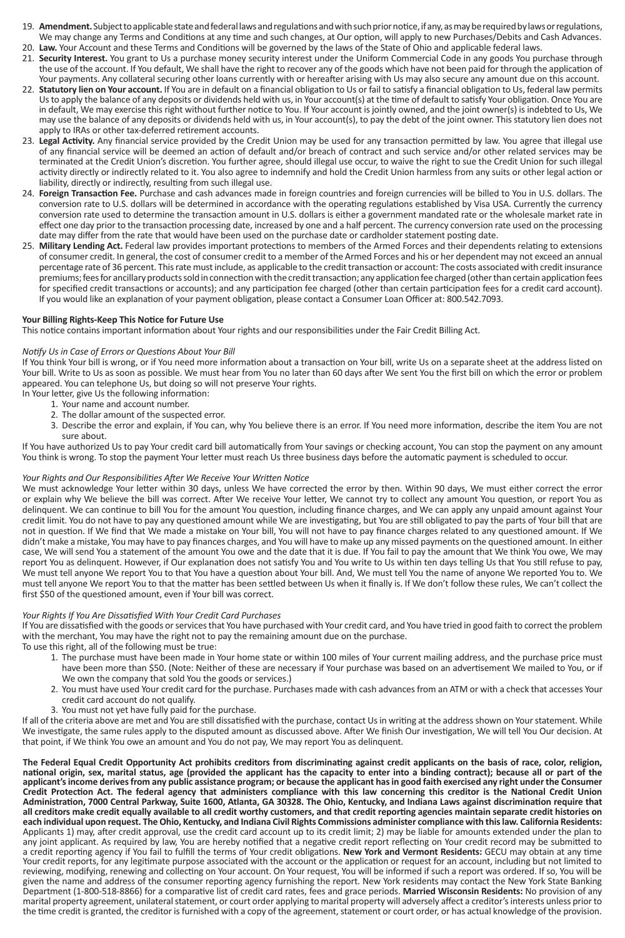- 19. **Amendment.** Subject to applicable state and federal laws and regulations and with such prior notice, if any, as may be required by laws or regulations, We may change any Terms and Conditions at any time and such changes, at Our option, will apply to new Purchases/Debits and Cash Advances.
- 20. **Law.** Your Account and these Terms and Conditions will be governed by the laws of the State of Ohio and applicable federal laws. 21. **Security Interest.** You grant to Us a purchase money security interest under the Uniform Commercial Code in any goods You purchase through the use of the account. If You default, We shall have the right to recover any of the goods which have not been paid for through the application of Your payments. Any collateral securing other loans currently with or hereafter arising with Us may also secure any amount due on this account.
- 22. **Statutory lien on Your account.** If You are in default on a financial obligation to Us or fail to satisfy a financial obligation to Us, federal law permits Us to apply the balance of any deposits or dividends held with us, in Your account(s) at the time of default to satisfy Your obligation. Once You are in default, We may exercise this right without further notice to You. If Your account is jointly owned, and the joint owner(s) is indebted to Us, We may use the balance of any deposits or dividends held with us, in Your account(s), to pay the debt of the joint owner. This statutory lien does not apply to IRAs or other tax-deferred retirement accounts.
- 23. **Legal Activity.** Any financial service provided by the Credit Union may be used for any transaction permitted by law. You agree that illegal use of any financial service will be deemed an action of default and/or breach of contract and such service and/or other related services may be terminated at the Credit Union's discretion. You further agree, should illegal use occur, to waive the right to sue the Credit Union for such illegal activity directly or indirectly related to it. You also agree to indemnify and hold the Credit Union harmless from any suits or other legal action or liability, directly or indirectly, resulting from such illegal use.
- 24. **Foreign Transaction Fee.** Purchase and cash advances made in foreign countries and foreign currencies will be billed to You in U.S. dollars. The conversion rate to U.S. dollars will be determined in accordance with the operating regulations established by Visa USA. Currently the currency conversion rate used to determine the transaction amount in U.S. dollars is either a government mandated rate or the wholesale market rate in effect one day prior to the transaction processing date, increased by one and a half percent. The currency conversion rate used on the processing date may differ from the rate that would have been used on the purchase date or cardholder statement posting date.
- 25. **Military Lending Act.** Federal law provides important protections to members of the Armed Forces and their dependents relating to extensions of consumer credit. In general, the cost of consumer credit to a member of the Armed Forces and his or her dependent may not exceed an annual percentage rate of 36 percent. This rate must include, as applicable to the credit transaction or account: The costs associated with credit insurance premiums; fees for ancillary products sold in connection with the credit transaction; any application fee charged (other than certain application fees for specified credit transactions or accounts); and any participation fee charged (other than certain participation fees for a credit card account). If you would like an explanation of your payment obligation, please contact a Consumer Loan Officer at: 800.542.7093.

## **Your Billing Rights-Keep This Notice for Future Use**

This notice contains important information about Your rights and our responsibilities under the Fair Credit Billing Act.

#### *Notify Us in Case of Errors or Questions About Your Bill*

If You think Your bill is wrong, or if You need more information about a transaction on Your bill, write Us on a separate sheet at the address listed on Your bill. Write to Us as soon as possible. We must hear from You no later than 60 days after We sent You the first bill on which the error or problem appeared. You can telephone Us, but doing so will not preserve Your rights.

- In Your letter, give Us the following information:
	- 1. Your name and account number. 2. The dollar amount of the suspected error.
	- 3. Describe the error and explain, if You can, why You believe there is an error. If You need more information, describe the item You are not sure about.

If You have authorized Us to pay Your credit card bill automatically from Your savings or checking account, You can stop the payment on any amount You think is wrong. To stop the payment Your letter must reach Us three business days before the automatic payment is scheduled to occur.

### *Your Rights and Our Responsibilities After We Receive Your Written Notice*

We must acknowledge Your letter within 30 days, unless We have corrected the error by then. Within 90 days, We must either correct the error or explain why We believe the bill was correct. After We receive Your letter, We cannot try to collect any amount You question, or report You as delinquent. We can continue to bill You for the amount You question, including finance charges, and We can apply any unpaid amount against Your credit limit. You do not have to pay any questioned amount while We are investigating, but You are still obligated to pay the parts of Your bill that are not in question. If We find that We made a mistake on Your bill, You will not have to pay finance charges related to any questioned amount. If We didn't make a mistake, You may have to pay finances charges, and You will have to make up any missed payments on the questioned amount. In either case, We will send You a statement of the amount You owe and the date that it is due. If You fail to pay the amount that We think You owe, We may report You as delinquent. However, if Our explanation does not satisfy You and You write to Us within ten days telling Us that You still refuse to pay, We must tell anyone We report You to that You have a question about Your bill. And, We must tell You the name of anyone We reported You to. We must tell anyone We report You to that the matter has been settled between Us when it finally is. If We don't follow these rules, We can't collect the first \$50 of the questioned amount, even if Your bill was correct.

#### *Your Rights If You Are Dissatisfied With Your Credit Card Purchases*

If You are dissatisfied with the goods or services that You have purchased with Your credit card, and You have tried in good faith to correct the problem with the merchant, You may have the right not to pay the remaining amount due on the purchase.

To use this right, all of the following must be true:

- 1. The purchase must have been made in Your home state or within 100 miles of Your current mailing address, and the purchase price must have been more than \$50. (Note: Neither of these are necessary if Your purchase was based on an advertisement We mailed to You, or if We own the company that sold You the goods or services.)
- 2. You must have used Your credit card for the purchase. Purchases made with cash advances from an ATM or with a check that accesses Your credit card account do not qualify.
- 3. You must not yet have fully paid for the purchase.

If all of the criteria above are met and You are still dissatisfied with the purchase, contact Us in writing at the address shown on Your statement. While We investigate, the same rules apply to the disputed amount as discussed above. After We finish Our investigation, We will tell You Our decision. At that point, if We think You owe an amount and You do not pay, We may report You as delinquent.

**The Federal Equal Credit Opportunity Act prohibits creditors from discriminating against credit applicants on the basis of race, color, religion, national origin, sex, marital status, age (provided the applicant has the capacity to enter into a binding contract); because all or part of the applicant's income derives from any public assistance program; or because the applicant has in good faith exercised any right under the Consumer Credit Protection Act. The federal agency that administers compliance with this law concerning this creditor is the National Credit Union Administration, 7000 Central Parkway, Suite 1600, Atlanta, GA 30328. The Ohio, Kentucky, and Indiana Laws against discrimination require that all creditors make credit equally available to all credit worthy customers, and that credit reporting agencies maintain separate credit histories on each individual upon request. The Ohio, Kentucky, and Indiana Civil Rights Commissions administer compliance with this law. California Residents:** Applicants 1) may, after credit approval, use the credit card account up to its credit limit; 2) may be liable for amounts extended under the plan to any joint applicant. As required by law, You are hereby notified that a negative credit report reflecting on Your credit record may be submitted to a credit reporting agency if You fail to fulfill the terms of Your credit obligations. **New York and Vermont Residents:** GECU may obtain at any time Your credit reports, for any legitimate purpose associated with the account or the application or request for an account, including but not limited to reviewing, modifying, renewing and collecting on Your account. On Your request, You will be informed if such a report was ordered. If so, You will be given the name and address of the consumer reporting agency furnishing the report. New York residents may contact the New York State Banking Department (1-800-518-8866) for a comparative list of credit card rates, fees and grace periods. **Married Wisconsin Residents:** No provision of any marital property agreement, unilateral statement, or court order applying to marital property will adversely affect a creditor's interests unless prior to the time credit is granted, the creditor is furnished with a copy of the agreement, statement or court order, or has actual knowledge of the provision.